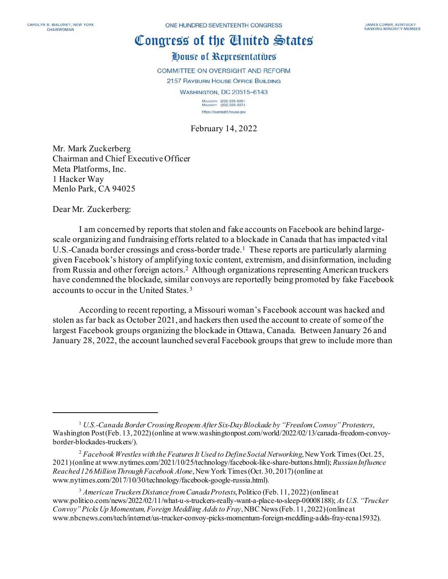## Congress of the Cinited States

## House of Representatives

COMMITTEE ON OVERSIGHT AND REFORM

2157 RAYBURN HOUSE OFFICE BUILDING

WASHINGTON, DC 20515-6143

MAJORITY (202) 225-5051<br>MINORITY (202) 225-5074 https://oversight.house.gov

February 14, 2022

Mr. Mark Zuckerberg Chairman and Chief Executive Officer Meta Platforms, Inc. 1 Hacker Way Menlo Park, CA 94025

Dear Mr. Zuckerberg:

I am concerned by reports that stolen and fake accounts on Facebook are behind largescale organizing and fundraising efforts related to a blockade in Canada that has impacted vital U.S.-Canada border crossings and cross-border trade.<sup>1</sup> These reports are particularly alarming given Facebook's history of amplifying toxic content, extremism, and disinformation, including from Russia and other foreign actors. [2](#page-0-1) Although organizations representing American truckers have condemned the blockade, similar convoys are reportedly being promoted by fake Facebook accounts to occur in the United States.[3](#page-0-2)

According to recent reporting, a Missouri woman's Facebook account was hacked and stolen as far back as October 2021, and hackers then used the account to create of some of the largest Facebook groups organizing the blockade in Ottawa, Canada. Between January 26 and January 28, 2022, the account launched several Facebook groups that grew to include more than

<span id="page-0-0"></span><sup>1</sup> *U.S.-Canada Border Crossing Reopens After Six-Day Blockade by "Freedom Convoy"Protesters*, Washington Post (Feb. 13, 2022) (online at www.washingtonpost.com/world/2022/02/13/canada-freedom-convoyborder-blockades-truckers/).

<span id="page-0-1"></span><sup>&</sup>lt;sup>2</sup> Facebook Wrestles with the Features It Used to Define Social Networking, New York Times (Oct. 25, 2021) (online at www.nytimes.com/2021/10/25/technology/facebook-like-share-buttons.html); *Russian Influence Reached 126 Million Through Facebook Alone*, New York Times (Oct. 30, 2017) (online at www.nytimes.com/2017/10/30/technology/facebook-google-russia.html).

<span id="page-0-2"></span><sup>3</sup> *American Truckers Distance from Canada Protests*, Politico (Feb. 11, 2022) (online at www.politico.com/news/2022/02/11/what-u-s-truckers-really-want-a-place-to-sleep-00008188); *As U.S. "Trucker Convoy"Picks Up Momentum, Foreign Meddling Adds to Fray*, NBC News (Feb. 11, 2022) (online at www.nbcnews.com/tech/internet/us-trucker-convoy-picks-momentum-foreign-meddling-adds-fray-rcna15932).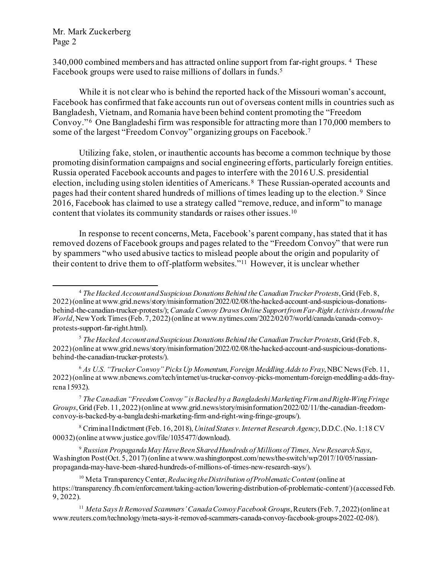Mr. Mark Zuckerberg Page 2

340,000 combined members and has attracted online support from far-right groups. <sup>4</sup> These Facebook groups were used to raise millions of dollars in funds. [5](#page-1-1)

While it is not clear who is behind the reported hack of the Missouri woman's account, Facebook has confirmed that fake accounts run out of overseas content mills in countries such as Bangladesh, Vietnam, and Romania have been behind content promoting the "Freedom Convoy."<sup>6</sup> One Bangladeshi firm was responsible for attracting more than 170,000 members to some of the largest "Freedom Convoy" organizing groups on Facebook.[7](#page-1-3)

Utilizing fake, stolen, or inauthentic accounts has become a common technique by those promoting disinformation campaigns and social engineering efforts, particularly foreign entities. Russia operated Facebook accounts and pages to interfere with the 2016 U.S. presidential election, including using stolen identities of Americans. [8](#page-1-4) These Russian-operated accounts and pages had their content shared hundreds of millions of times leading up to the election. [9](#page-1-5) Since 2016, Facebook has claimed to use a strategy called "remove, reduce, and inform" to manage content that violates its community standards or raises other issues. [10](#page-1-6)

In response to recent concerns, Meta, Facebook's parent company, has stated that it has removed dozens of Facebook groups and pages related to the "Freedom Convoy" that were run by spammers "who used abusive tactics to mislead people about the origin and popularity of their content to drive them to off-platform websites."[11](#page-1-7) However, it is unclear whether

<span id="page-1-1"></span><sup>5</sup> *The Hacked Account and Suspicious Donations Behind the Canadian Trucker Protests*, Grid (Feb. 8, 2022) (online at www.grid.news/story/misinformation/2022/02/08/the-hacked-account-and-suspicious-donationsbehind-the-canadian-trucker-protests/).

<span id="page-1-2"></span><sup>6</sup> *As U.S. "Trucker Convoy"Picks Up Momentum, Foreign Meddling Adds to Fray*, NBC News (Feb. 11, 2022) (online at www.nbcnews.com/tech/internet/us-trucker-convoy-picks-momentum-foreign-meddling-adds-frayrcna15932).

<span id="page-1-3"></span><sup>7</sup> *The Canadian "Freedom Convoy"is Backed by a Bangladeshi Marketing Firm and Right-Wing Fringe Groups*,Grid (Feb. 11, 2022) (online at www.grid.news/story/misinformation/2022/02/11/the-canadian-freedomconvoy-is-backed-by-a-bangladeshi-marketing-firm-and-right-wing-fringe-groups/).

<span id="page-1-4"></span><sup>8</sup> Criminal Indictment (Feb. 16, 2018),*United States v. Internet Research Agency*,D.D.C. (No. 1:18 CV 00032)(online at www.justice.gov/file/1035477/download).

<span id="page-1-5"></span><sup>9</sup> *Russian Propaganda May Have Been Shared Hundreds of Millions of Times, New Research Says*, Washington Post (Oct. 5, 2017) (online at www.washingtonpost.com/news/the-switch/wp/2017/10/05/russianpropaganda-may-have-been-shared-hundreds-of-millions-of-times-new-research-says/).

<span id="page-1-0"></span><sup>4</sup> *The Hacked Account and Suspicious Donations Behind the Canadian Trucker Protests*, Grid (Feb. 8, 2022) (online at www.grid.news/story/misinformation/2022/02/08/the-hacked-account-and-suspicious-donationsbehind-the-canadian-trucker-protests/); *Canada Convoy Draws Online Support from Far-Right Activists Around the World*, New York Times (Feb. 7, 2022) (online at www.nytimes.com/2022/02/07/world/canada/canada-convoyprotests-support-far-right.html).

<span id="page-1-6"></span><sup>10</sup> Meta Transparency Center, *Reducing the Distribution of Problematic Content* (online at https://transparency.fb.com/enforcement/taking-action/lowering-distribution-of-problematic-content/) (accessed Feb. 9, 2022).

<span id="page-1-7"></span><sup>11</sup> *Meta Says It Removed Scammers'Canada Convoy Facebook Groups*, Reuters (Feb. 7, 2022) (online at www.reuters.com/technology/meta-says-it-removed-scammers-canada-convoy-facebook-groups-2022-02-08/).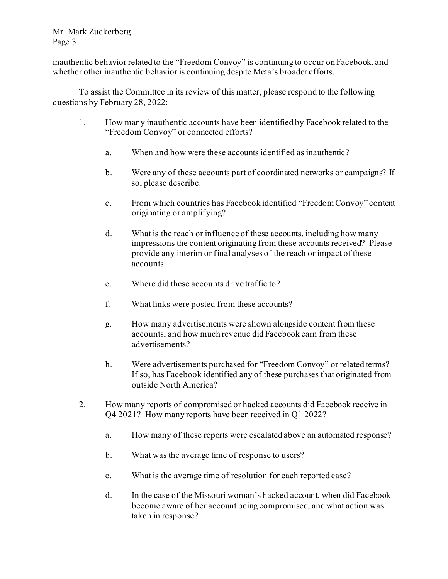Mr. Mark Zuckerberg Page 3

inauthentic behavior related to the "Freedom Convoy" is continuing to occur on Facebook, and whether other inauthentic behavior is continuing despite Meta's broader efforts.

To assist the Committee in its review of this matter, please respond to the following questions by February 28, 2022:

- 1. How many inauthentic accounts have been identified by Facebook related to the "Freedom Convoy" or connected efforts?
	- a. When and how were these accounts identified as inauthentic?
	- b. Were any of these accounts part of coordinated networks or campaigns? If so, please describe.
	- c. From which countries has Facebook identified "Freedom Convoy" content originating or amplifying?
	- d. What is the reach or influence of these accounts, including how many impressions the content originating from these accounts received? Please provide any interim or final analyses of the reach or impact of these accounts.
	- e. Where did these accounts drive traffic to?
	- f. What links were posted from these accounts?
	- g. How many advertisements were shown alongside content from these accounts, and how much revenue did Facebook earn from these advertisements?
	- h. Were advertisements purchased for "Freedom Convoy" or related terms? If so, has Facebook identified any of these purchases that originated from outside North America?
- 2. How many reports of compromised or hacked accounts did Facebook receive in Q4 2021? How many reports have been received in Q1 2022?
	- a. How many of these reports were escalated above an automated response?
	- b. What was the average time of response to users?
	- c. What is the average time of resolution for each reported case?
	- d. In the case of the Missouri woman's hacked account, when did Facebook become aware of her account being compromised, and what action was taken in response?